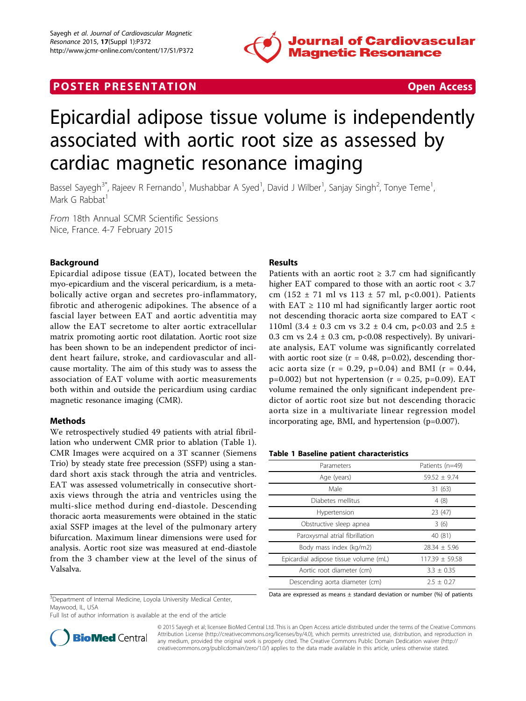

# **POSTER PRESENTATION CONSUMING THE SECOND CONSUMING THE SECOND CONSUMING THE SECOND CONSUMING THE SECOND CONSUMING THE SECOND CONSUMING THE SECOND CONSUMING THE SECOND CONSUMING THE SECOND CONSUMING THE SECOND CONSUMING**

# Epicardial adipose tissue volume is independently associated with aortic root size as assessed by cardiac magnetic resonance imaging

Bassel Sayegh<sup>3\*</sup>, Rajeev R Fernando<sup>1</sup>, Mushabbar A Syed<sup>1</sup>, David J Wilber<sup>1</sup>, Sanjay Singh<sup>2</sup>, Tonye Teme<sup>1</sup> , Mark G Rabbat<sup>1</sup>

From 18th Annual SCMR Scientific Sessions Nice, France. 4-7 February 2015

# Background

Epicardial adipose tissue (EAT), located between the myo-epicardium and the visceral pericardium, is a metabolically active organ and secretes pro-inflammatory, fibrotic and atherogenic adipokines. The absence of a fascial layer between EAT and aortic adventitia may allow the EAT secretome to alter aortic extracellular matrix promoting aortic root dilatation. Aortic root size has been shown to be an independent predictor of incident heart failure, stroke, and cardiovascular and allcause mortality. The aim of this study was to assess the association of EAT volume with aortic measurements both within and outside the pericardium using cardiac magnetic resonance imaging (CMR).

## Methods

We retrospectively studied 49 patients with atrial fibrillation who underwent CMR prior to ablation (Table 1). CMR Images were acquired on a 3T scanner (Siemens Trio) by steady state free precession (SSFP) using a standard short axis stack through the atria and ventricles. EAT was assessed volumetrically in consecutive shortaxis views through the atria and ventricles using the multi-slice method during end-diastole. Descending thoracic aorta measurements were obtained in the static axial SSFP images at the level of the pulmonary artery bifurcation. Maximum linear dimensions were used for analysis. Aortic root size was measured at end-diastole from the 3 chamber view at the level of the sinus of Valsalva.

# Results

Patients with an aortic root  $\geq$  3.7 cm had significantly higher EAT compared to those with an aortic root < 3.7 cm (152  $\pm$  71 ml vs 113  $\pm$  57 ml, p<0.001). Patients with  $EAT \geq 110$  ml had significantly larger aortic root not descending thoracic aorta size compared to EAT < 110ml (3.4  $\pm$  0.3 cm vs 3.2  $\pm$  0.4 cm, p<0.03 and 2.5  $\pm$ 0.3 cm vs  $2.4 \pm 0.3$  cm, p<0.08 respectively). By univariate analysis, EAT volume was significantly correlated with aortic root size ( $r = 0.48$ ,  $p=0.02$ ), descending thoracic aorta size ( $r = 0.29$ ,  $p=0.04$ ) and BMI ( $r = 0.44$ ,  $p=0.002$ ) but not hypertension ( $r = 0.25$ ,  $p=0.09$ ). EAT volume remained the only significant independent predictor of aortic root size but not descending thoracic aorta size in a multivariate linear regression model incorporating age, BMI, and hypertension (p=0.007).

#### Table 1 Baseline patient characteristics

| Parameters                            | Patients (n=49)  |
|---------------------------------------|------------------|
| Age (years)                           | $59.52 + 9.74$   |
| Male                                  | 31 (63)          |
| Diabetes mellitus                     | 4(8)             |
| Hypertension                          | 23 (47)          |
| Obstructive sleep apnea               | 3(6)             |
| Paroxysmal atrial fibrillation        | 40 (81)          |
| Body mass index (kg/m2)               | $28.34 \pm 5.96$ |
| Epicardial adipose tissue volume (mL) | $117.39 + 59.58$ |
| Aortic root diameter (cm)             | $3.3 + 0.35$     |
| Descending aorta diameter (cm)        | $2.5 + 0.27$     |

Data are expressed as means  $\pm$  standard deviation or number (%) of patients

<sup>3</sup>Department of Internal Medicine, Loyola University Medical Center, Maywood, IL, USA

Full list of author information is available at the end of the article



© 2015 Sayegh et al; licensee BioMed Central Ltd. This is an Open Access article distributed under the terms of the Creative Commons Attribution License [\(http://creativecommons.org/licenses/by/4.0](http://creativecommons.org/licenses/by/4.0)), which permits unrestricted use, distribution, and reproduction in any medium, provided the original work is properly cited. The Creative Commons Public Domain Dedication waiver [\(http://](http://creativecommons.org/publicdomain/zero/1.0/) [creativecommons.org/publicdomain/zero/1.0/](http://creativecommons.org/publicdomain/zero/1.0/)) applies to the data made available in this article, unless otherwise stated.